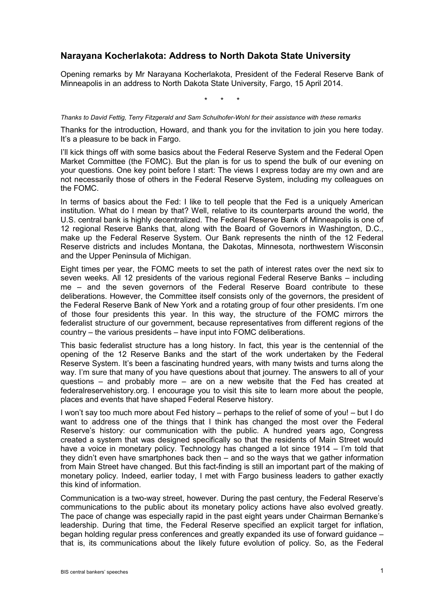## **Narayana Kocherlakota: Address to North Dakota State University**

Opening remarks by Mr Narayana Kocherlakota, President of the Federal Reserve Bank of Minneapolis in an address to North Dakota State University, Fargo, 15 April 2014.

\* \* \*

## *Thanks to David Fettig, Terry Fitzgerald and Sam Schulhofer-Wohl for their assistance with these remarks*

Thanks for the introduction, Howard, and thank you for the invitation to join you here today. It's a pleasure to be back in Fargo.

I'll kick things off with some basics about the Federal Reserve System and the Federal Open Market Committee (the FOMC). But the plan is for us to spend the bulk of our evening on your questions. One key point before I start: The views I express today are my own and are not necessarily those of others in the Federal Reserve System, including my colleagues on the FOMC.

In terms of basics about the Fed: I like to tell people that the Fed is a uniquely American institution. What do I mean by that? Well, relative to its counterparts around the world, the U.S. central bank is highly decentralized. The Federal Reserve Bank of Minneapolis is one of 12 regional Reserve Banks that, along with the Board of Governors in Washington, D.C., make up the Federal Reserve System. Our Bank represents the ninth of the 12 Federal Reserve districts and includes Montana, the Dakotas, Minnesota, northwestern Wisconsin and the Upper Peninsula of Michigan.

Eight times per year, the FOMC meets to set the path of interest rates over the next six to seven weeks. All 12 presidents of the various regional Federal Reserve Banks – including me – and the seven governors of the Federal Reserve Board contribute to these deliberations. However, the Committee itself consists only of the governors, the president of the Federal Reserve Bank of New York and a rotating group of four other presidents. I'm one of those four presidents this year. In this way, the structure of the FOMC mirrors the federalist structure of our government, because representatives from different regions of the country – the various presidents – have input into FOMC deliberations.

This basic federalist structure has a long history. In fact, this year is the centennial of the opening of the 12 Reserve Banks and the start of the work undertaken by the Federal Reserve System. It's been a fascinating hundred years, with many twists and turns along the way. I'm sure that many of you have questions about that journey. The answers to all of your questions – and probably more – are on a new website that the Fed has created at federalreservehistory.org. I encourage you to visit this site to learn more about the people, places and events that have shaped Federal Reserve history.

I won't say too much more about Fed history – perhaps to the relief of some of you! – but I do want to address one of the things that I think has changed the most over the Federal Reserve's history: our communication with the public. A hundred years ago, Congress created a system that was designed specifically so that the residents of Main Street would have a voice in monetary policy. Technology has changed a lot since 1914 – I'm told that they didn't even have smartphones back then – and so the ways that we gather information from Main Street have changed. But this fact-finding is still an important part of the making of monetary policy. Indeed, earlier today, I met with Fargo business leaders to gather exactly this kind of information.

Communication is a two-way street, however. During the past century, the Federal Reserve's communications to the public about its monetary policy actions have also evolved greatly. The pace of change was especially rapid in the past eight years under Chairman Bernanke's leadership. During that time, the Federal Reserve specified an explicit target for inflation, began holding regular press conferences and greatly expanded its use of forward guidance – that is, its communications about the likely future evolution of policy. So, as the Federal